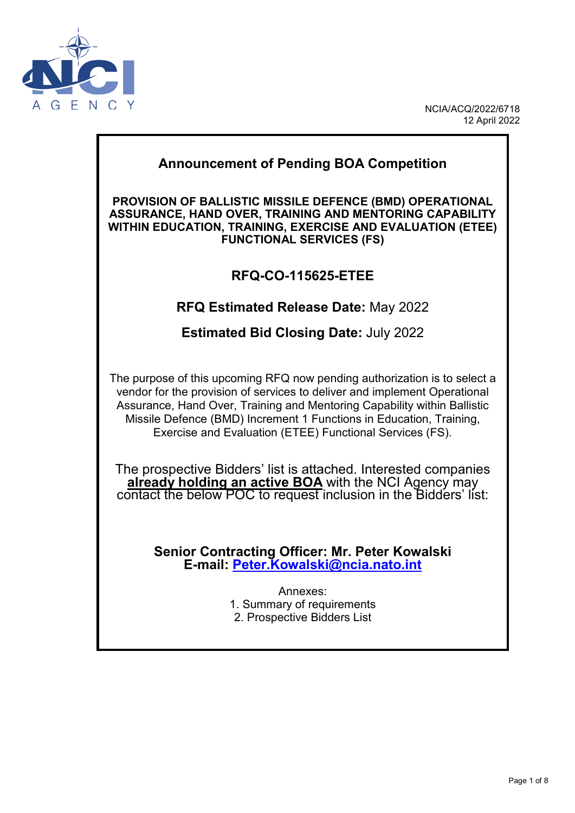

NCIA/ACQ/2022/6718 12 April 2022

# **Annex 1 - SUMMON CONTROL Announcement of Pending BOA Competition PROVISION OF BALLISTIC MISSILE DEFENCE (BMD) OPERATIONAL ASSURANCE, HAND OVER, TRAINING AND MENTORING CAPABILITY WITHIN EDUCATION, TRAINING, EXERCISE AND EVALUATION (ETEE) FUNCTIONAL SERVICES (FS) RFQ-CO-115625-ETEE RFQ Estimated Release Date:** May 2022 **Estimated Bid Closing Date:** July 2022 The purpose of this upcoming RFQ now pending authorization is to select a vendor for the provision of services to deliver and implement Operational Assurance, Hand Over, Training and Mentoring Capability within Ballistic Missile Defence (BMD) Increment 1 Functions in Education, Training, Exercise and Evaluation (ETEE) Functional Services (FS). The prospective Bidders' list is attached. Interested companies **already holding an active BOA** with the NCI Agency may contact the below POC to request inclusion in the Bidders' list: **Senior Contracting Officer: Mr. Peter Kowalski E-mail: [Peter.Kowalski@ncia.nato.int](mailto:Peter.Kowalski@ncia.nato.int)** Annexes: 1. Summary of requirements 2. Prospective Bidders List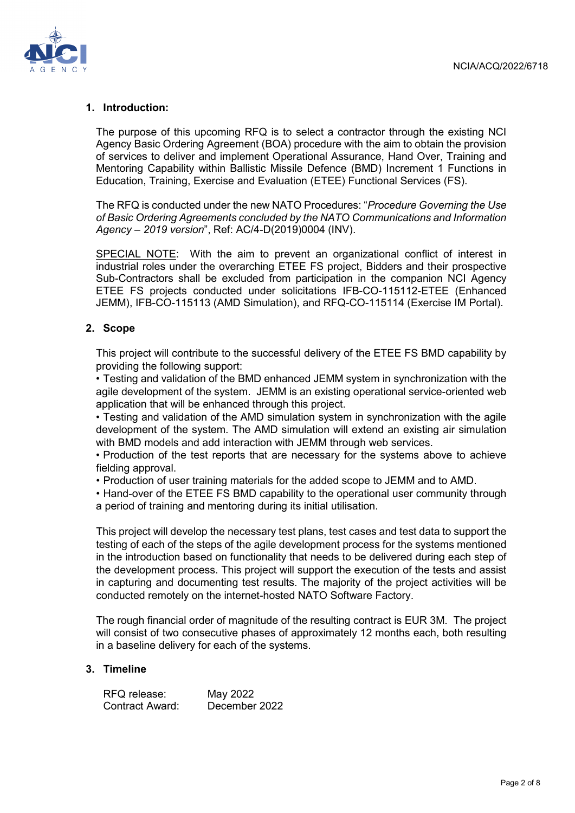

#### **1. Introduction:**

The purpose of this upcoming RFQ is to select a contractor through the existing NCI Agency Basic Ordering Agreement (BOA) procedure with the aim to obtain the provision of services to deliver and implement Operational Assurance, Hand Over, Training and Mentoring Capability within Ballistic Missile Defence (BMD) Increment 1 Functions in Education, Training, Exercise and Evaluation (ETEE) Functional Services (FS).

The RFQ is conducted under the new NATO Procedures: "*Procedure Governing the Use of Basic Ordering Agreements concluded by the NATO Communications and Information Agency – 2019 version*", Ref: AC/4-D(2019)0004 (INV).

SPECIAL NOTE: With the aim to prevent an organizational conflict of interest in industrial roles under the overarching ETEE FS project, Bidders and their prospective Sub-Contractors shall be excluded from participation in the companion NCI Agency ETEE FS projects conducted under solicitations IFB-CO-115112-ETEE (Enhanced JEMM), IFB-CO-115113 (AMD Simulation), and RFQ-CO-115114 (Exercise IM Portal).

### **2. Scope**

This project will contribute to the successful delivery of the ETEE FS BMD capability by providing the following support:

• Testing and validation of the BMD enhanced JEMM system in synchronization with the agile development of the system. JEMM is an existing operational service-oriented web application that will be enhanced through this project.

• Testing and validation of the AMD simulation system in synchronization with the agile development of the system. The AMD simulation will extend an existing air simulation with BMD models and add interaction with JEMM through web services.

• Production of the test reports that are necessary for the systems above to achieve fielding approval.

• Production of user training materials for the added scope to JEMM and to AMD.

• Hand-over of the ETEE FS BMD capability to the operational user community through a period of training and mentoring during its initial utilisation.

This project will develop the necessary test plans, test cases and test data to support the testing of each of the steps of the agile development process for the systems mentioned in the introduction based on functionality that needs to be delivered during each step of the development process. This project will support the execution of the tests and assist in capturing and documenting test results. The majority of the project activities will be conducted remotely on the internet-hosted NATO Software Factory.

The rough financial order of magnitude of the resulting contract is EUR 3M. The project will consist of two consecutive phases of approximately 12 months each, both resulting in a baseline delivery for each of the systems.

#### **3. Timeline**

RFQ release: May 2022<br>Contract Award: December 2022 Contract Award: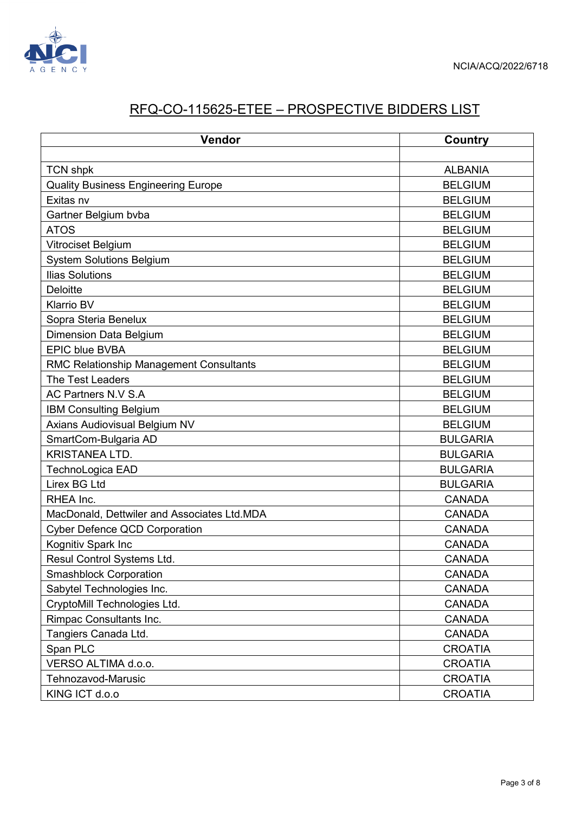

## RFQ-CO-115625-ETEE – PROSPECTIVE BIDDERS LIST

| Vendor                                         | Country         |
|------------------------------------------------|-----------------|
|                                                |                 |
| <b>TCN shpk</b>                                | <b>ALBANIA</b>  |
| <b>Quality Business Engineering Europe</b>     | <b>BELGIUM</b>  |
| Exitas nv                                      | <b>BELGIUM</b>  |
| Gartner Belgium bvba                           | <b>BELGIUM</b>  |
| <b>ATOS</b>                                    | <b>BELGIUM</b>  |
| Vitrociset Belgium                             | <b>BELGIUM</b>  |
| <b>System Solutions Belgium</b>                | <b>BELGIUM</b>  |
| <b>Ilias Solutions</b>                         | <b>BELGIUM</b>  |
| <b>Deloitte</b>                                | <b>BELGIUM</b>  |
| <b>Klarrio BV</b>                              | <b>BELGIUM</b>  |
| Sopra Steria Benelux                           | <b>BELGIUM</b>  |
| <b>Dimension Data Belgium</b>                  | <b>BELGIUM</b>  |
| <b>EPIC blue BVBA</b>                          | <b>BELGIUM</b>  |
| <b>RMC Relationship Management Consultants</b> | <b>BELGIUM</b>  |
| The Test Leaders                               | <b>BELGIUM</b>  |
| AC Partners N.V S.A                            | <b>BELGIUM</b>  |
| <b>IBM Consulting Belgium</b>                  | <b>BELGIUM</b>  |
| Axians Audiovisual Belgium NV                  | <b>BELGIUM</b>  |
| SmartCom-Bulgaria AD                           | <b>BULGARIA</b> |
| <b>KRISTANEA LTD.</b>                          | <b>BULGARIA</b> |
| TechnoLogica EAD                               | <b>BULGARIA</b> |
| <b>Lirex BG Ltd</b>                            | <b>BULGARIA</b> |
| RHEA Inc.                                      | <b>CANADA</b>   |
| MacDonald, Dettwiler and Associates Ltd.MDA    | <b>CANADA</b>   |
| <b>Cyber Defence QCD Corporation</b>           | <b>CANADA</b>   |
| Kognitiv Spark Inc                             | <b>CANADA</b>   |
| Resul Control Systems Ltd.                     | <b>CANADA</b>   |
| <b>Smashblock Corporation</b>                  | <b>CANADA</b>   |
| Sabytel Technologies Inc.                      | <b>CANADA</b>   |
| CryptoMill Technologies Ltd.                   | <b>CANADA</b>   |
| Rimpac Consultants Inc.                        | <b>CANADA</b>   |
| Tangiers Canada Ltd.                           | <b>CANADA</b>   |
| Span PLC                                       | <b>CROATIA</b>  |
| VERSO ALTIMA d.o.o.                            | <b>CROATIA</b>  |
| Tehnozavod-Marusic                             | <b>CROATIA</b>  |
| KING ICT d.o.o                                 | <b>CROATIA</b>  |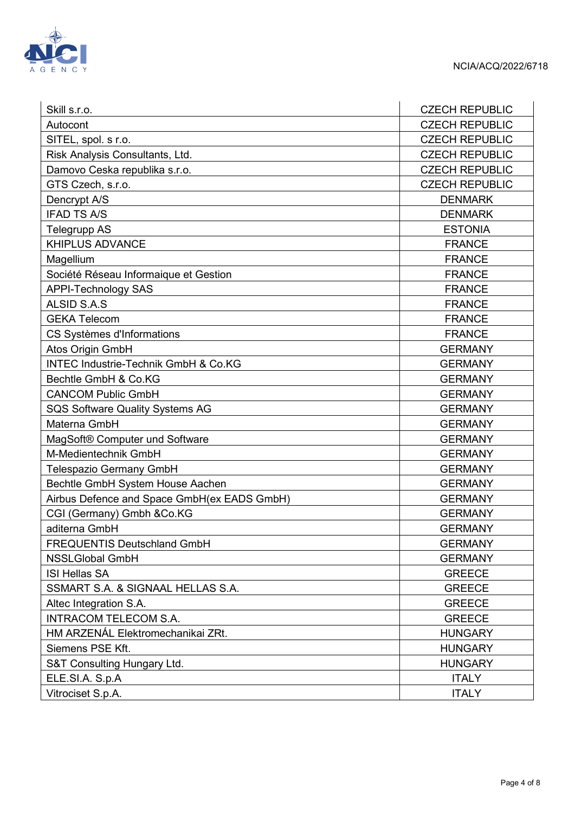

| Skill s.r.o.                                    | <b>CZECH REPUBLIC</b> |
|-------------------------------------------------|-----------------------|
| Autocont                                        | <b>CZECH REPUBLIC</b> |
| SITEL, spol. s r.o.                             | <b>CZECH REPUBLIC</b> |
| Risk Analysis Consultants, Ltd.                 | <b>CZECH REPUBLIC</b> |
| Damovo Ceska republika s.r.o.                   | <b>CZECH REPUBLIC</b> |
| GTS Czech, s.r.o.                               | <b>CZECH REPUBLIC</b> |
| Dencrypt A/S                                    | <b>DENMARK</b>        |
| <b>IFAD TS A/S</b>                              | <b>DENMARK</b>        |
| <b>Telegrupp AS</b>                             | <b>ESTONIA</b>        |
| KHIPLUS ADVANCE                                 | <b>FRANCE</b>         |
| Magellium                                       | <b>FRANCE</b>         |
| Société Réseau Informaique et Gestion           | <b>FRANCE</b>         |
| <b>APPI-Technology SAS</b>                      | <b>FRANCE</b>         |
| ALSID S.A.S                                     | <b>FRANCE</b>         |
| <b>GEKA Telecom</b>                             | <b>FRANCE</b>         |
| CS Systèmes d'Informations                      | <b>FRANCE</b>         |
| Atos Origin GmbH                                | <b>GERMANY</b>        |
| <b>INTEC Industrie-Technik GmbH &amp; Co.KG</b> | <b>GERMANY</b>        |
| Bechtle GmbH & Co.KG                            | <b>GERMANY</b>        |
| <b>CANCOM Public GmbH</b>                       | <b>GERMANY</b>        |
| <b>SQS Software Quality Systems AG</b>          | <b>GERMANY</b>        |
| Materna GmbH                                    | <b>GERMANY</b>        |
| MagSoft® Computer und Software                  | <b>GERMANY</b>        |
| M-Medientechnik GmbH                            | <b>GERMANY</b>        |
| Telespazio Germany GmbH                         | <b>GERMANY</b>        |
| Bechtle GmbH System House Aachen                | <b>GERMANY</b>        |
| Airbus Defence and Space GmbH(ex EADS GmbH)     | <b>GERMANY</b>        |
| CGI (Germany) Gmbh &Co.KG                       | <b>GERMANY</b>        |
| aditerna GmbH                                   | <b>GERMANY</b>        |
| <b>FREQUENTIS Deutschland GmbH</b>              | <b>GERMANY</b>        |
| <b>NSSLGlobal GmbH</b>                          | <b>GERMANY</b>        |
| <b>ISI Hellas SA</b>                            | <b>GREECE</b>         |
| SSMART S.A. & SIGNAAL HELLAS S.A.               | <b>GREECE</b>         |
| Altec Integration S.A.                          | <b>GREECE</b>         |
| <b>INTRACOM TELECOM S.A.</b>                    | <b>GREECE</b>         |
| HM ARZENÁL Elektromechanikai ZRt.               | <b>HUNGARY</b>        |
| Siemens PSE Kft.                                | <b>HUNGARY</b>        |
| S&T Consulting Hungary Ltd.                     | <b>HUNGARY</b>        |
| ELE.SI.A. S.p.A                                 | <b>ITALY</b>          |
| Vitrociset S.p.A.                               | <b>ITALY</b>          |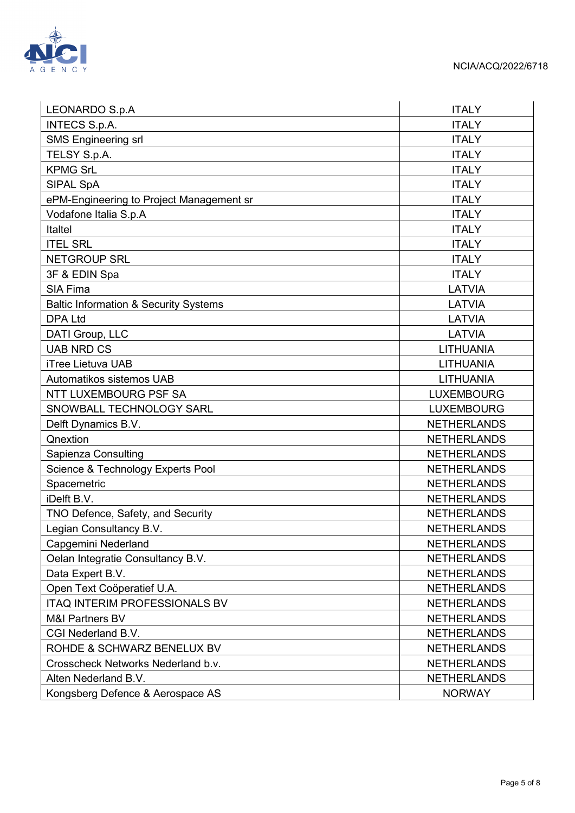

| LEONARDO S.p.A                                   | <b>ITALY</b>       |
|--------------------------------------------------|--------------------|
| <b>INTECS S.p.A.</b>                             | <b>ITALY</b>       |
| <b>SMS Engineering srl</b>                       | <b>ITALY</b>       |
| TELSY S.p.A.                                     | <b>ITALY</b>       |
| <b>KPMG SrL</b>                                  | <b>ITALY</b>       |
| SIPAL SpA                                        | <b>ITALY</b>       |
| ePM-Engineering to Project Management sr         | <b>ITALY</b>       |
| Vodafone Italia S.p.A                            | <b>ITALY</b>       |
| <b>Italtel</b>                                   | <b>ITALY</b>       |
| <b>ITEL SRL</b>                                  | <b>ITALY</b>       |
| <b>NETGROUP SRL</b>                              | <b>ITALY</b>       |
| 3F & EDIN Spa                                    | <b>ITALY</b>       |
| <b>SIA Fima</b>                                  | LATVIA             |
| <b>Baltic Information &amp; Security Systems</b> | LATVIA             |
| <b>DPA Ltd</b>                                   | <b>LATVIA</b>      |
| DATI Group, LLC                                  | LATVIA             |
| <b>UAB NRD CS</b>                                | <b>LITHUANIA</b>   |
| <b>iTree Lietuva UAB</b>                         | <b>LITHUANIA</b>   |
| Automatikos sistemos UAB                         | LITHUANIA          |
| NTT LUXEMBOURG PSF SA                            | <b>LUXEMBOURG</b>  |
| SNOWBALL TECHNOLOGY SARL                         | <b>LUXEMBOURG</b>  |
| Delft Dynamics B.V.                              | <b>NETHERLANDS</b> |
| Qnextion                                         | <b>NETHERLANDS</b> |
| Sapienza Consulting                              | <b>NETHERLANDS</b> |
| Science & Technology Experts Pool                | <b>NETHERLANDS</b> |
| Spacemetric                                      | <b>NETHERLANDS</b> |
| iDelft B.V.                                      | <b>NETHERLANDS</b> |
| TNO Defence, Safety, and Security                | <b>NETHERLANDS</b> |
| Legian Consultancy B.V.                          | <b>NETHERLANDS</b> |
| Capgemini Nederland                              | <b>NETHERLANDS</b> |
| Oelan Integratie Consultancy B.V.                | <b>NETHERLANDS</b> |
| Data Expert B.V.                                 | <b>NETHERLANDS</b> |
| Open Text Coöperatief U.A.                       | <b>NETHERLANDS</b> |
| <b>ITAQ INTERIM PROFESSIONALS BV</b>             | <b>NETHERLANDS</b> |
| <b>M&amp;I Partners BV</b>                       | <b>NETHERLANDS</b> |
| CGI Nederland B.V.                               | <b>NETHERLANDS</b> |
| ROHDE & SCHWARZ BENELUX BV                       | <b>NETHERLANDS</b> |
| Crosscheck Networks Nederland b.v.               | <b>NETHERLANDS</b> |
| Alten Nederland B.V.                             | <b>NETHERLANDS</b> |
| Kongsberg Defence & Aerospace AS                 | <b>NORWAY</b>      |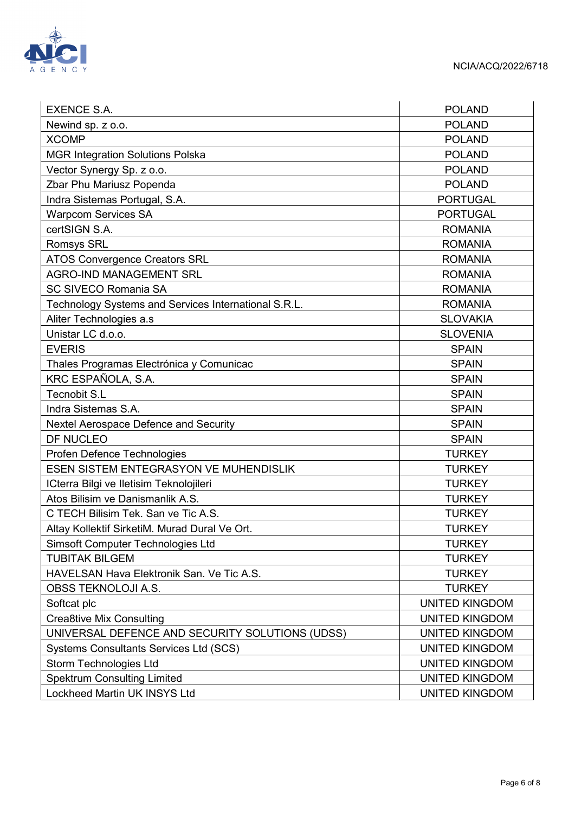

| <b>EXENCE S.A.</b>                                   | <b>POLAND</b>         |
|------------------------------------------------------|-----------------------|
| Newind sp. z o.o.                                    | <b>POLAND</b>         |
| <b>XCOMP</b>                                         | <b>POLAND</b>         |
| <b>MGR Integration Solutions Polska</b>              | <b>POLAND</b>         |
| Vector Synergy Sp. z o.o.                            | <b>POLAND</b>         |
| Zbar Phu Mariusz Popenda                             | <b>POLAND</b>         |
| Indra Sistemas Portugal, S.A.                        | <b>PORTUGAL</b>       |
| <b>Warpcom Services SA</b>                           | <b>PORTUGAL</b>       |
| certSIGN S.A.                                        | <b>ROMANIA</b>        |
| <b>Romsys SRL</b>                                    | <b>ROMANIA</b>        |
| <b>ATOS Convergence Creators SRL</b>                 | <b>ROMANIA</b>        |
| <b>AGRO-IND MANAGEMENT SRL</b>                       | <b>ROMANIA</b>        |
| <b>SC SIVECO Romania SA</b>                          | <b>ROMANIA</b>        |
| Technology Systems and Services International S.R.L. | <b>ROMANIA</b>        |
| Aliter Technologies a.s                              | <b>SLOVAKIA</b>       |
| Unistar LC d.o.o.                                    | <b>SLOVENIA</b>       |
| <b>EVERIS</b>                                        | <b>SPAIN</b>          |
| Thales Programas Electrónica y Comunicac             | <b>SPAIN</b>          |
| KRC ESPAÑOLA, S.A.                                   | <b>SPAIN</b>          |
| <b>Tecnobit S.L</b>                                  | <b>SPAIN</b>          |
| Indra Sistemas S.A.                                  | <b>SPAIN</b>          |
| Nextel Aerospace Defence and Security                | <b>SPAIN</b>          |
| DF NUCLEO                                            | <b>SPAIN</b>          |
| Profen Defence Technologies                          | <b>TURKEY</b>         |
| ESEN SISTEM ENTEGRASYON VE MUHENDISLIK               | <b>TURKEY</b>         |
| ICterra Bilgi ve Iletisim Teknolojileri              | <b>TURKEY</b>         |
| Atos Bilisim ve Danismanlik A.S.                     | <b>TURKEY</b>         |
| C TECH Bilisim Tek. San ve Tic A.S.                  | <b>TURKEY</b>         |
| Altay Kollektif SirketiM. Murad Dural Ve Ort.        | <b>TURKEY</b>         |
| <b>Simsoft Computer Technologies Ltd</b>             | <b>TURKEY</b>         |
| <b>TUBITAK BILGEM</b>                                | <b>TURKEY</b>         |
| HAVELSAN Hava Elektronik San. Ve Tic A.S.            | <b>TURKEY</b>         |
| <b>OBSS TEKNOLOJI A.S.</b>                           | <b>TURKEY</b>         |
| Softcat plc                                          | <b>UNITED KINGDOM</b> |
| <b>Crea8tive Mix Consulting</b>                      | <b>UNITED KINGDOM</b> |
| UNIVERSAL DEFENCE AND SECURITY SOLUTIONS (UDSS)      | <b>UNITED KINGDOM</b> |
| <b>Systems Consultants Services Ltd (SCS)</b>        | <b>UNITED KINGDOM</b> |
| Storm Technologies Ltd                               | <b>UNITED KINGDOM</b> |
| <b>Spektrum Consulting Limited</b>                   | <b>UNITED KINGDOM</b> |
| Lockheed Martin UK INSYS Ltd                         | <b>UNITED KINGDOM</b> |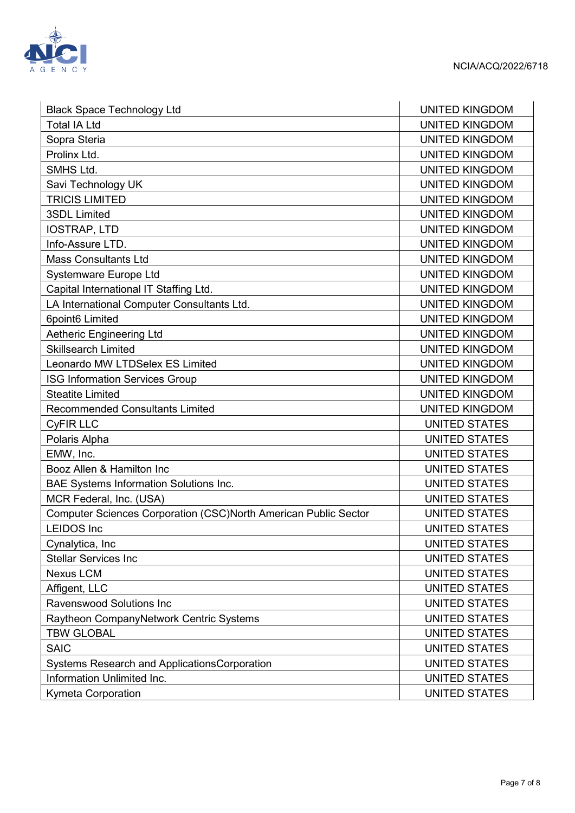

| <b>Black Space Technology Ltd</b>                               | <b>UNITED KINGDOM</b> |
|-----------------------------------------------------------------|-----------------------|
| <b>Total IA Ltd</b>                                             | <b>UNITED KINGDOM</b> |
| Sopra Steria                                                    | <b>UNITED KINGDOM</b> |
| Prolinx Ltd.                                                    | <b>UNITED KINGDOM</b> |
| SMHS Ltd.                                                       | <b>UNITED KINGDOM</b> |
| Savi Technology UK                                              | <b>UNITED KINGDOM</b> |
| <b>TRICIS LIMITED</b>                                           | <b>UNITED KINGDOM</b> |
| <b>3SDL Limited</b>                                             | <b>UNITED KINGDOM</b> |
| <b>IOSTRAP, LTD</b>                                             | <b>UNITED KINGDOM</b> |
| Info-Assure LTD.                                                | <b>UNITED KINGDOM</b> |
| <b>Mass Consultants Ltd</b>                                     | <b>UNITED KINGDOM</b> |
| Systemware Europe Ltd                                           | <b>UNITED KINGDOM</b> |
| Capital International IT Staffing Ltd.                          | <b>UNITED KINGDOM</b> |
| LA International Computer Consultants Ltd.                      | <b>UNITED KINGDOM</b> |
| 6point6 Limited                                                 | <b>UNITED KINGDOM</b> |
| Aetheric Engineering Ltd                                        | <b>UNITED KINGDOM</b> |
| <b>Skillsearch Limited</b>                                      | <b>UNITED KINGDOM</b> |
| Leonardo MW LTDSelex ES Limited                                 | <b>UNITED KINGDOM</b> |
| <b>ISG Information Services Group</b>                           | <b>UNITED KINGDOM</b> |
| <b>Steatite Limited</b>                                         | <b>UNITED KINGDOM</b> |
| <b>Recommended Consultants Limited</b>                          | <b>UNITED KINGDOM</b> |
| <b>CyFIR LLC</b>                                                | <b>UNITED STATES</b>  |
| Polaris Alpha                                                   | <b>UNITED STATES</b>  |
| EMW, Inc.                                                       | <b>UNITED STATES</b>  |
| Booz Allen & Hamilton Inc                                       | <b>UNITED STATES</b>  |
| <b>BAE Systems Information Solutions Inc.</b>                   | <b>UNITED STATES</b>  |
| MCR Federal, Inc. (USA)                                         | <b>UNITED STATES</b>  |
| Computer Sciences Corporation (CSC)North American Public Sector | <b>UNITED STATES</b>  |
| <b>LEIDOS Inc</b>                                               | <b>UNITED STATES</b>  |
| Cynalytica, Inc                                                 | <b>UNITED STATES</b>  |
| <b>Stellar Services Inc</b>                                     | <b>UNITED STATES</b>  |
| Nexus LCM                                                       | <b>UNITED STATES</b>  |
| Affigent, LLC                                                   | <b>UNITED STATES</b>  |
| <b>Ravenswood Solutions Inc</b>                                 | <b>UNITED STATES</b>  |
| Raytheon CompanyNetwork Centric Systems                         | <b>UNITED STATES</b>  |
| <b>TBW GLOBAL</b>                                               | <b>UNITED STATES</b>  |
| <b>SAIC</b>                                                     | <b>UNITED STATES</b>  |
| Systems Research and ApplicationsCorporation                    | <b>UNITED STATES</b>  |
| Information Unlimited Inc.                                      | <b>UNITED STATES</b>  |
| Kymeta Corporation                                              | UNITED STATES         |